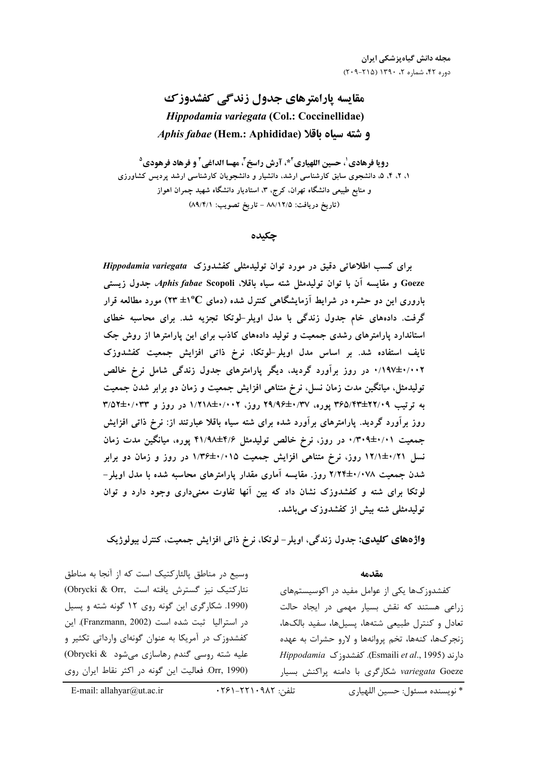# مقایسه پارامترهای جدول زندگی کفشدوزک Hippodamia variegata (Col.: Coccinellidae) Aphis fabae (Hem.: Aphididae) و شته سياه باقلا

رويا فرهادي'، حسين اللهياري<sup>2\*</sup>، آرش راسخ<sup>7</sup>، مهسا الداغي<sup>۴</sup> و فرهاد فرهودي<sup>0</sup> ۱، ۲، ۴، ۵، دانشجوی سابق کارشناسی ارشد، دانشیار و دانشجویان کارشناسی ارشد پردیس کشاورزی و منابع طبیعی دانشگاه تهران، کرج، ۳، استادیار دانشگاه شهید چمران اهواز (تاريخ دريافت: ٨٨/١٢/٥ - تاريخ تصويب: ٨٩/٤/١)

#### جكىدە

برای کسب اطلاعاتی دقیق در مورد توان تولیدمثلی کفشدوزک Hippodamia variegata Goeze و مقايسه آن با توان توليدمثل شته سياه باقلاً. *Aphis fabae* Scopoli، جدول زيستي باروری این دو حشره در شرایط آزمایشگاهی کنترل شده (دمای C°۱+ ۲۳) مورد مطالعه قرار گرفت. دادههای خام جدول زندگی با مدل اویلر-لوتکا تجزیه شد. برای محاسبه خطای استاندارد پارامترهای رشدی جمعیت و تولید دادههای کاذب برای این پارامترها از روش جک نایف استفاده شد. بر اساس مدل اویلر-لوتکا، نرخ ذاتی افزایش جمعیت کفشدوزک ۰/۱۹۷±۰/۰۰۲ در روز برآورد گردید، دیگر پارامترهای جدول زندگی شامل نرخ خالص تولیدمثل، میانگین مدت زمان نسل، نرخ متناهی افزایش جمعیت و زمان دو برابر شدن جمعیت به ترتیب ۳۶۵/۴۴±۲۲/۰۹ یوره، ۲۹/۹۶±۰/۳۷ روز، ۱/۲۱۸±۰/۰۰۲ در روز و ۳۳/۵۲±۰/۰۳۳ روز برآورد گردید. پارامترهای برآورد شده برای شته سیاه باقلا عبارتند از: نرخ ذاتی افزایش جمعیت ۰/۳۰۹±۰/۰۱ در روز، نرخ خالص تولیدمثل ۴/۶±۴۱/۹۸ پوره، میانگین مدت زمان نسل ۱۲/۱±۰/۲۱ روز، نرخ متناهی افزایش جمعیت ۱/۳۶±۱/۳۶ در روز و زمان دو برابر شدن جمعیت ۲/۲۴±۲/۰۷۸ روز. مقایسه آماری مقدار یارامترهای محاسبه شده با مدل اویلر – لوتکا برای شته و کفشدوزک نشان داد که بین آنها تفاوت معنیداری وجود دارد و توان تولیدمثلی شته بیش از کفشدوزک می باشد.

واژههای کلیدی: جدول زندگی، اویلر- لوتکا، نرخ ذاتی افزایش جمعیت، کنترل بیولوژیک

#### مقدمه

کفشدوز کھا یکی از عوامل مفید در اکوسیستمهای زراعی هستند که نقش بسیار مهمی در ایجاد حالت تعادل و كنترل طبيعي شتهها، يسيلها، سفيد بالكها، زنجركها، كنهها، تخم پروانهها و لارو حشرات به عهده دارند (Esmaili et al., 1995). كفشدوزك Hippodamia variegata Goeze شكاركرى با دامنه پراكنش بسيار

وسیع در مناطق پالئارکتیک است که از آنجا به مناطق نئاركتيك نيز گسترش يافته است .Obrycki & Orr (1990. شکارگری این گونه روی ١٢ گونه شته و پسیل در استرالیا ثبت شده است (Franzmann, 2002). این کفشدوزک در آمریکا به عنوان گونهای وارداتی تکثیر و علیه شته روسی گندم رهاسازی می شود (Obrycki & Orr, 1990). فعاليت اين گونه در اكثر نقاط ايران روى

\* نويسنده مسئول: حسين اللهياري

تلفن: ٠٢٢١٠٩٨٢-٢۶١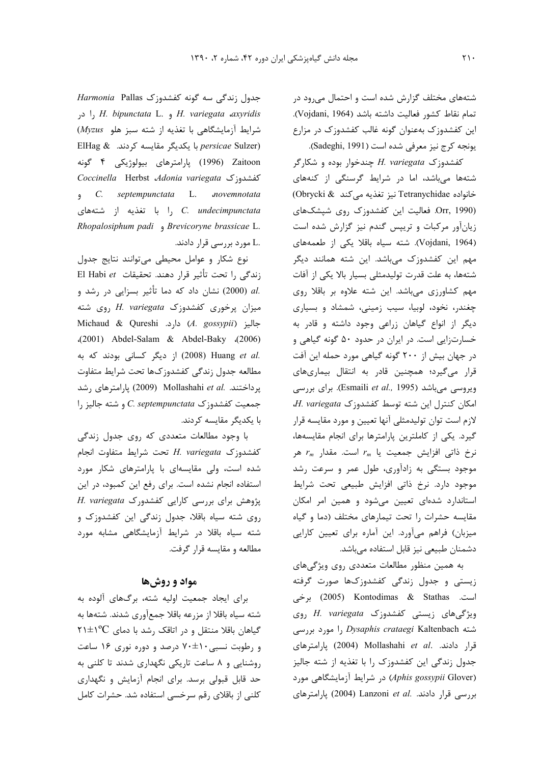شتههای مختلف گزارش شده است و احتمال می رود در تمام نقاط كشور فعاليت داشته باشد (Vojdani, 1964). این کفشدوزک بهعنوان گونه غالب کفشدوزک در مزارع يونجه كرج نيز معرفي شده است (Sadeghi, 1991).

کفشدوزک H. variegata چندخوار بوده و شکارگر شتهها میباشد، اما در شرایط گرسنگی از کنههای خانواده Tetranychidae نيز تغذيه مي كند @Obrycki Orr, 1990). فعالیت این کفشدوزک روی شپشکهای زیانآور مرکبات و تریپس گندم نیز گزارش شده است (Vojdani, 1964). شته سیاه باقلا یکی از طعمههای مهم این کفشدوزک میباشد. این شته همانند دیگر شتهها، به علت قدرت تولیدمثلی بسیار بالا یکی از آفات مهم کشاورزی میباشد. این شته علاوه بر باقلا روی چغندر، نخود، لوبیا، سیب زمینی، شمشاد و بسیاری دیگر از انواع گیاهان زراعی وجود داشته و قادر به خسارتزایی است. در ایران در حدود ۵۰ گونه گیاهی و در جهان بیش از ۲۰۰ گونه گیاهی مورد حمله این آفت قرار میگیرد؛ همچنین قادر به انتقال بیماریهای ويروسي مي باشد (Esmaili et al., 1995). براي بررسي  $H.$  variegata امکان کنترل این شته توسط کفشدوزک لازم است توان توليدمثلي آنها تعيين و مورد مقايسه قرار گیرد. یکی از کاملترین پارامترها برای انجام مقایسهها،  $r_m$  نرخ ذاتی افزایش جمعیت یا  $r_m$  است. مقدار موجود بستگی به زادآوری، طول عمر و سرعت رشد موجود دارد. نرخ ذاتی افزایش طبیعی تحت شرایط استاندارد شدهای تعیین می شود و همین امر امکان مقایسه حشرات را تحت تیمارهای مختلف (دما و گیاه میزبان) فراهم میآورد. این آماره برای تعیین کارایی دشمنان طبیعی نیز قابل استفاده میباشد.

به همین منظور مطالعات متعددی روی ویژگیهای زیستی و جدول زندگی کفشدوزکها صورت گرفته است. Kontodimas & Stathas برخی ویژگیهای زیستی کفشدوزک H. variegata روی شته Dysaphis crataegi Kaltenbach را مورد بررسی قرار دادند. .Mollashahi et al (2004) يارامترهاى جدول زندگی این کفشدوزک را با تغذیه از شته جالیز (Aphis gossypii Glover) در شرايط آزمايشگاهي مورد بررسی قرار دادند. .Lanzoni et al (2004) پارامترهای

جدول زندگی سه گونه کفشدوزک Harmonia Pallas ا در H. bipunctata L. و H. variegata axyridis شرایط آزمایشگاهی با تغذیه از شته سبز هلو Myzus) ElHag & ربا یکدیگر مقایسه کردند. ElHag & Zaitoon (1996) پارامترهای بیولوژیکی ۴ گونه Coccinella Herbst Adonia variegata S e c. septempunctata L. novemnotata را با تغذیه از شتههای C. undecimpunctata Rhopalosiphum padi , Brevicoryne brassicae L. .L مورد بررسے قرار دادند.

نوع شكار و عوامل محيطى مى توانند نتايج جدول El Habi et زندگی را تحت تأثیر قرار دهند. تحقیقات .al (2000) نشان داد که دما تأثیر بسزایی در رشد و میزان پرخوری کفشدوزک H. variegata روی شته Michaud & Qureshi .دارد. Michaud & Qureshi .(2001) Abdel-Salam & Abdel-Baky .(2006) .(2008) Huang et al (2008) از دیگر کسانی بودند که به مطالعه جدول زندگي كفشدوزكها تحت شرايط متفاوت یرداختند. .Mollashahi et al (2009) یارامترهای رشد  $\vert$ . eptempunctata جمعیت کفشدوزک C. septempunctata با یکدیگر مقایسه کردند.

با وجود مطالعات متعددی که روی جدول زندگی كغشدوزك H. variegata تحت شرايط متفاوت انجام شده است، ولی مقایسهای با پارامترهای شکار مورد استفاده انجام نشده است. برای رفع این کمبود، در این پژوهش برای بررسی کارایی کفشدورک H. variegata روی شته سیاه باقلا، جدول زندگی این کفشدوزک و شته سیاه باقلا در شرایط آزمایشگاهی مشابه مورد مطالعه و مقايسه قرار گرفت.

## مواد و روشها

برای ایجاد جمعیت اولیه شته، برگهای آلوده به شته سیاه باقلا از مزرعه باقلا جمعآوری شدند. شتهها به گیاهان باقلا منتقل و در اتاقک رشد با دمای C°۱±۱۲ و رطوبت نسبی ۷۰±۷۰ درصد و دوره نوری ۱۶ ساعت روشنایی و ۸ ساعت تاریکی نگهداری شدند تا کلنی به حد قابل قبولی برسد. برای انجام آزمایش و نگهداری كلني از باقلاي رقم سرخسي استفاده شد. حشرات كامل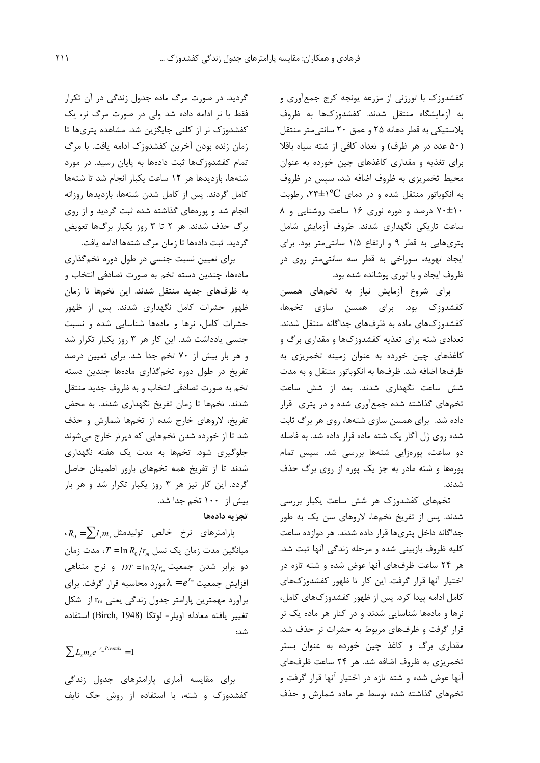كفشدوزك با تورزني از مزرعه يونجه كرج جمعأوري و به آزمایشگاه منتقل شدند. کفشدوزکها به ظروف پلاستیکی به قطر دهانه ۲۵ و عمق ۲۰ سانتی متر منتقل (۵۰ عدد در هر ظرف) و تعداد کافی از شته سیاه باقلا برای تغذیه و مقداری کاغذهای چین خورده به عنوان محیط تخمریزی به ظروف اضافه شد، سپس در ظروف به انکوباتور منتقل شده و در دمای  $\rm C$ (۲۳±۰ رطوبت ۷۰±۱۰ درصد و دوره نوری ۱۶ ساعت روشنایی و ۸ ساعت تاریکی نگهداری شدند. ظروف آزمایش شامل پتریهایی به قطر ۹ و ارتفاع ۱/۵ سانتی متر بود. برای ایجاد تهویه، سوراخی به قطر سه سانتیمتر روی در ظروف ایجاد و با توری پوشانده شده بود.

برای شروع آزمایش نیاز به تخمهای همسن کفشدوزک بود. برای همسن سازی تخمها، کفشدوز کهای ماده به ظرفهای جداگانه منتقل شدند. تعدادی شته برای تغذیه کفشدوزکها و مقداری برگ و کاغذهای چین خورده به عنوان زمینه تخمریزی به ظرفها اضافه شد. ظرفها به انكوباتور منتقل و به مدت شش ساعت نگهداری شدند. بعد از شش ساعت تخمهای گذاشته شده جمعآوری شده و در پتری قرار داده شد. برای همسن سازی شتهها، روی هر برگ ثابت شده روی ژل آگار یک شته ماده قرار داده شد. به فاصله دو ساعت، پورهزایی شتهها بررسی شد. سپس تمام پورهها و شته مادر به جز یک پوره از روی برگ حذف شدند.

تخمهای کفشدوزک هر شش ساعت یکبار بررسی شدند. پس از تفریخ تخمها، لاروهای سن یک به طور جداگانه داخل پتریها قرار داده شدند. هر دوازده ساعت کلیه ظروف بازبینی شده و مرحله زندگی آنها ثبت شد. هر ۲۴ ساعت ظرفهای آنها عوض شده و شته تازه در اختیار آنها قرار گرفت. این کار تا ظهور کفشدوزکهای كامل ادامه پيدا كرد. پس از ظهور كفشدوزكهاى كامل، نرها و مادهها شناسایی شدند و در کنار هر ماده یک نر قرار گرفت و ظرفهای مربوط به حشرات نر حذف شد. مقداری برگ و کاغذ چین خورده به عنوان بستر تخمریزی به ظروف اضافه شد. هر ۲۴ ساعت ظرفهای آنها عوض شده و شته تازه در اختیار آنها قرار گرفت و تخمهای گذاشته شده توسط هر ماده شمارش و حذف

گردید. در صورت مرگ ماده جدول زندگی در آن تکرار فقط با نر ادامه داده شد ولی در صورت مرگ نر، یک کفشدوزک نر از کلنی جایگزین شد. مشاهده پتریها تا زمان زنده بودن آخرین کفشدوزک ادامه یافت. با مرگ تمام کفشدوزکها ثبت دادهها به پایان رسید. در مورد شتهها، بازدیدها هر ١٢ ساعت یکبار انجام شد تا شتهها كامل گردند. پس از كامل شدن شتهها، بازديدها روزانه انجام شد و پورههای گذاشته شده ثبت گردید و از روی برگ حذف شدند. هر ۲ تا ۳ روز یکبار برگها تعویض گردید. ثبت دادهها تا زمان مرگ شتهها ادامه یافت.

برای تعیین نسبت جنسی در طول دوره تخمگذاری مادهها، چندین دسته تخم به صورت تصادفی انتخاب و به ظرفهای جدید منتقل شدند. این تخمها تا زمان ظهور حشرات کامل نگهداری شدند. پس از ظهور حشرات کامل، نرها و مادهها شناسایی شده و نسبت جنسی یادداشت شد. این کار هر ۳ روز یکبار تکرار شد و هر بار بیش از ۷۰ تخم جدا شد. برای تعیین درصد تفریخ در طول دوره تخمگذاری مادهها چندین دسته تخم به صورت تصادفي انتخاب و به ظروف جديد منتقل شدند. تخمها تا زمان تفریخ نگهداری شدند. به محض تفریخ، لاروهای خارج شده از تخمها شمارش و حذف شد تا از خورده شدن تخمهایی که دیرتر خارج میشوند جلوگیری شود. تخمها به مدت یک هفته نگهداری شدند تا از تفریخ همه تخمهای بارور اطمینان حاصل گردد. این کار نیز هر ۳ روز یکبار تکرار شد و هر بار بیش از ۱۰۰ تخم جدا شد. تجزيه دادهها

 $\cdot R_{_0}=\sum l_{_X}m_{_X}$ پارامترهای نرخ خالص تولیدمثل میانگین مدت زمان یک نسل  $T = \ln R_0 / r_m$ ، مدت زمان  $D T = \ln 2/r_m$  دو برابر شدن جمعیت D $T = \ln 2/r_m$  و نرخ متناهی افزایش جمعیت $e^{r_m}$  =  $e^{r_m}$ مورد محاسبه قرار گرفت. برای برآورد مهمترین پارامتر جدول زندگی یعنی r<sub>m</sub> از شکل تغيير يافته معادله اويلر- لوتكا (Birch, 1948) استفاده شد:

 $\sum L_{x} m_{x} e^{-r_{m}Pivotak} = 1$ 

برای مقایسه آماری پارامترهای جدول زندگی کفشدوزک و شته، با استفاده از روش جک نایف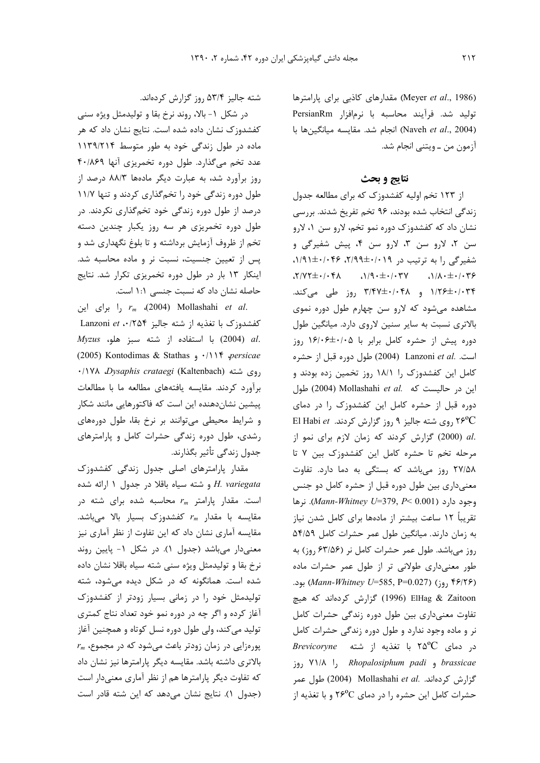(Meyer et al., 1986) مقدارهای کاذبی برای پارامترها توليد شد. فرآيند محاسبه با نرمافزار PersianRm (Naveh et al., 2004) انجام شد. مقايسه ميانگينها با آزمون من ــ ويتنبي انجام شد.

# نتايج و بحث

از ۱۲۳ تخم اولیه کفشدوزک که برای مطالعه جدول زندگی انتخاب شده بودند، ۹۶ تخم تفریخ شدند. بررسی نشان داد که کفشدوزک دوره نمو تخم، لارو سن ۱، لارو سن ٢، لارو سن ٣، لارو سن ۴، پيش شفيرگي و شفیرگی را به ترتیب در ۲/۹۹±۰/۰۴۶، ۰۴۶+۱/۴۱.  $\gamma/\gamma + \pm \cdot/\gamma + \pm \cdot \gamma$  (1)  $\gamma + \pm \cdot/\gamma + \pm \gamma$ ۱/۲۶±۰/۰۳۴ و ۳/۴۷±۰/۰۴۸ روز طی میکند. مشاهده می شود که لارو سن چهارم طول دوره نموی بالاتری نسبت به سایر سنین لاروی دارد. میانگین طول دوره پیش از حشره کامل برابر با ۱۶/۰۶±۱۶/۰۶ روز است. Lanzoni et al. (2004) طول دوره قبل از حشره کامل این کفشدوزک ۱٫ ۱۸/۱ روز تخمین زده بودند و این در حالیست که Mollashahi et al. طول دوره قبل از حشره کامل این کفشدوزک را در دمای ٢۶°C روی شته جالیز ٩ روز گزارش کردند. El Habi et .al (2000) گزارش كردند كه زمان لازم براى نمو از مرحله تخم تا حشره كامل اين كفشدوزك بين ٧ تا ٢٧/۵٨ روز مى باشد كه بستگى به دما دارد. تفاوت معنیداری بین طول دوره قبل از حشره کامل دو جنس i (Mann-Whitney U=379, P< 0.001). نرها تقریباً ۱۲ ساعت بیشتر از مادهها برای کامل شدن نیاز به زمان دارند. میانگین طول عمر حشرات کامل ۵۴/۵۹ روز می باشد. طول عمر حشرات کامل نر (۶۳/۵۶ روز) به طور معنیداری طولانی تر از طول عمر حشرات ماده بود. (Mann-Whitney U=585, P=0.027) بود. ElHag & Zaitoon (1996) گزارش کردهاند که هیچ تفاوت معنى دارى بين طول دوره زندگى حشرات كامل نر و ماده وجود ندارد و طول دوره زندگی حشرات کامل Brevicoryne ور دمای ٢٥°٢ با تغذيه از شته brassicae و Rhopalosiphum padi را ۷۱/۸ روز گزارش کردهاند. .Mollashahi et al (2004) طول عمر حشرات کامل این حشره ,ا در دمای ۲۶<sup>۰</sup>C و با تغذیه از

شته جالیز ۵۳/۴ روز گزارش کردهاند.

در شکل ۱- بالا، روند نرخ بقا و تولیدمثل ویژه سنی کفشدوزک نشان داده شده است. نتایج نشان داد که هر ماده در طول زندگی خود به طور متوسط ١١٣٩/٢١۴ عدد تخم میگذارد. طول دوره تخمریزی آنها ۴٠/٨۶٩ روز برآورد شد، به عبارت دیگر مادهها ۸۸/۳ درصد از طول دوره زندگی خود را تخم گذاری کردند و تنها ۱۱/۷ درصد از طول دوره زندگی خود تخمگذاری نکردند. در طول دوره تخمریزی هر سه روز یکبار چندین دسته تخم از ظروف آزمایش برداشته و تا بلوغ نگهداری شد و پس از تعیین جنسیت، نسبت نر و ماده محاسبه شد. اینکار ۱۳ بار در طول دوره تخمریزی تکرار شد. نتایج حاصله نشان داد که نسبت جنسی \: ١ است.

را برای این  $r_m$  (2004) Mollashahi et al. کفشدوزک با تغذیه از شته جالیز Lanzoni et .•/۲۵۴  $Myzus$  با استفاده از شته سبز هلو،  $(2004)$  al. (2005) Kontodimas & Stathas ,  $\cdot/\wedge\Upsilon$  persicae ۰/۱۷۸ *Dysaphis crataegi* (Kaltenbach) , وی شته برآورد كردند. مقايسه يافتههاى مطالعه ما با مطالعات پیشین نشاندهنده این است که فاکتورهایی مانند شکار و شرایط محیطی می توانند بر نرخ بقا، طول دورههای رشدی، طول دوره زندگی حشرات کامل و پارامترهای جدول زندگی تأثیر بگذارند.

مقدار پارامترهای اصلی جدول زندگی کفشدوزک و شته سياه باقلا در جدول ١ ارائه شده H. variegata است. مقدار یارامتر  $r_m$  محاسبه شده برای شته در مقایسه با مقدار  $r_m$  کفشدوزک بسیار بالا میباشد. مقایسه آماری نشان داد که این تفاوت از نظر آماری نیز معنیدار میباشد (جدول ۱). در شکل ۱- پایین روند نرخ بقا و تولیدمثل ویژه سنی شته سیاه باقلا نشان داده شده است. همانگونه که در شکل دیده می شود، شته تولیدمثل خود را در زمانی بسیار زودتر از کفشدوزک آغاز کرده و اگر چه در دوره نمو خود تعداد نتاج کمتری تولید می کند، ولی طول دوره نسل کوتاه و همچنین آغاز  $r_m$  پورهزایی در زمان زودتر باعث میشود که در مجموع، بالاتری داشته باشد. مقایسه دیگر پارامترها نیز نشان داد که تفاوت دیگر پارامترها هم از نظر آماری معنیدار است (جدول ١). نتايج نشان مى دهد كه اين شته قادر است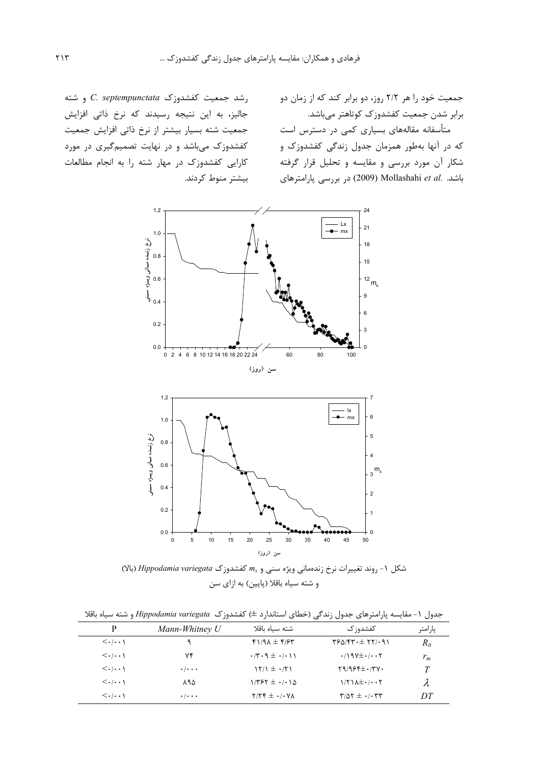جمعیت خود را هر ۲/۲ روز، دو برابر کند که از زمان دو برابر شدن جمعیت کفشدوزک کوتاهتر می باشد.

متأسفانه مقالههای بسیاری کمی در دسترس است که در آنها بهطور همزمان جدول زندگی کفشدوزک و شکار آن مورد بررسی و مقایسه و تحلیل قرار گرفته باشد. .Mollashahi et al (2009) در بررسی پارامترهای

رشد جمعیت کفشدوزک C. septempunctata و شته جالیز، به این نتیجه رسیدند که نرخ ذاتی افزایش جمعیت شته بسیار بیشتر از نرخ ذاتی افزایش جمعیت کفشدوزک میباشد و در نهایت تصمیمگیری در مورد کارایی کفشدوزک در مهار شته را به انجام مطالعات بیشتر منوط کردند.





(بالا) + روند تغییرات نرخ زندهمانی ویژه سنی و  $m_x$  کفشدوزک Hippodamia variegata (بالا) و شته سياه باقلا (پايين) به ازاي سن

جدول ١- مقایسه پارامترهای جدول زندگی (خطای استاندارد ±) کفشدوزک Hippodamia variegata و شته سیاه باقلا

| P                                     | Mann-Whitney U            | شته سىاه ىاقلا                                   | كفشدو; ک                                  | پارامتر |
|---------------------------------------|---------------------------|--------------------------------------------------|-------------------------------------------|---------|
| $\langle \cdot   \cdot \cdot \rangle$ | ٩                         | $f1/9\lambda \pm f/5$                            | $YSQ/YY \cdot \pm YY \cdot \gamma$        | $R_0$   |
| $\langle \cdot   \cdot \cdot \rangle$ | ۷۴                        | $\cdot$ /۳ $\cdot$ 9 $\pm$ $\cdot$ / $\cdot$ ) 1 | $\cdot$ /197 $\pm$ $\cdot$ / $\cdot$ 7    | $r_m$   |
| $\langle \cdot   \cdot \cdot \rangle$ | $\cdot$ / $\cdot$ $\cdot$ | $15/1 \pm .751$                                  | $Y9/995\pm VYV$                           |         |
| $\langle \cdot   \cdot \cdot \rangle$ | ۸۹۵                       | $1/797 \pm .1.10$                                | $1/\Upsilon$ $\lambda \pm \cdot$ $\cdots$ |         |
| $\langle \cdot   \cdot \cdot \rangle$ | $\cdot$ / $\cdot$ $\cdot$ | $Y/YY \pm \cdot$ / $\cdot$ $Y\Lambda$            | $\mathbf{r}/\Delta\mathbf{r} \pm \cdot$   | DΤ      |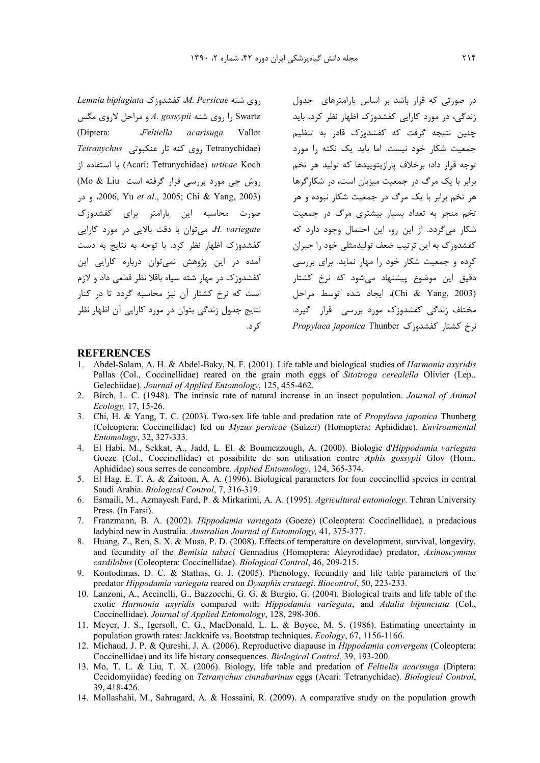Lemnia biplagiata کفشدوزک Lemnia biplagiata را روى شته A. gossypii و مراحل لاروى مگس Feltiella acarisuga Vallot (Diptera: Tetranychidae) روی کنه تار عنکبوتی Tetranychus ;ا استفاده از (Acari: Tetranychidae) urticae Koch روش چی مورد بررسی قرار گرفته است Mo & Liu) 2006, Yu et al., 2005; Chi & Yang, 2003) صورت محاسبه این پارامتر برای کفشدوزک H. variegate، می توان با دقت بالایی در مورد کارایی کفشدوزک اظهار نظر کرد. با توجه به نتایج به دست آمده در این پژوهش نمی توان درباره کارایی این کفشدوزک در مهار شته سیاه باقلا نظر قطعی داد و لازم است که نرخ کشتار آن نیز محاسبه گردد تا در کنار نتایج جدول زندگی بتوان در مورد کارایی آن اظهار نظر کر د.

در صورتی که قرار باشد بر اساس پارامترهای جدول زندگی، در مورد کارایی کفشدوزک اظهار نظر کرد، باید چنین نتیجه گرفت که کفشدوزک قادر به تنظیم جمعیت شکار خود نیست. اما باید یک نکته را مورد .<br>توجه قرار داد؛ برخلاف پارازیتوییدها که تولید هر تخم برابر با یک مرگ در جمعیت میزبان است، در شکارگرها هر تخم برابر با یک مرگ در جمعیت شکار نبوده و هر تخم منجر به تعداد بسیار بیشتری مرگ در جمعیت شکار می گردد. از این رو، این احتمال وجود دارد که کفشدوزک به این ترتیب ضعف تولیدمثلی خود را جبران کرده و جمعیت شکار خود را مهار نماید. برای بررسی دقیق این موضوع پیشنهاد میشود که نرخ کشتار (Chi & Yang, 2003)، ایجاد شده توسط مراحل مختلف زندگی کفشدوزک مورد بررسی قرار گیرد. نرخ کشتار کفشدوزک *Propylaea japonica* Thunber

### **REFERENCES**

- Abdel-Salam, A. H. & Abdel-Baky, N. F. (2001). Life table and biological studies of *Harmonia axyridis*  $\mathbf{1}$ Pallas (Col., Coccinellidae) reared on the grain moth eggs of Sitotroga cerealella Olivier (Lep., Gelechiidae). Journal of Applied Entomology, 125, 455-462.
- 2. Birch, L. C. (1948). The inrinsic rate of natural increase in an insect population. Journal of Animal Ecology, 17, 15-26.
- 3. Chi, H. & Yang, T. C. (2003). Two-sex life table and predation rate of *Propylaea japonica* Thunberg (Coleoptera: Coccinellidae) fed on Myzus persicae (Sulzer) (Homoptera: Aphididae). Environmental Entomology, 32, 327-333.
- 4. El Habi, M., Sekkat, A., Jadd, L. El. & Boumezzough, A. (2000). Biologie d'Hippodamia variegata Goeze (Col., Coccinellidae) et possibilite de son utilisation contre Aphis gossypii Glov (Hom., Aphididae) sous serres de concombre. Applied Entomology, 124, 365-374.
- 5. El Hag, E. T. A. & Zaitoon, A. A. (1996). Biological parameters for four coccinellid species in central Saudi Arabia. Biological Control, 7, 316-319.
- 6. Esmaili, M., Azmayesh Fard, P. & Mirkarimi, A. A. (1995). Agricultural entomology. Tehran University Press. (In Farsi).
- 7. Franzmann, B. A. (2002). *Hippodamia variegata* (Goeze) (Coleoptera: Coccinellidae), a predacious ladybird new in Australia. Australian Journal of Entomology. 41, 375-377.
- 8. Huang, Z., Ren, S. X. & Musa, P. D. (2008). Effects of temperature on development, survival, longevity, and fecundity of the Bemisia tabaci Gennadius (Homoptera: Aleyrodidae) predator, Axinoscymnus cardilobus (Coleoptera: Coccinellidae). Biological Control, 46, 209-215.
- 9. Kontodimas, D. C. & Stathas, G. J. (2005). Phenology, fecundity and life table parameters of the predator Hippodamia variegata reared on Dysaphis crataegi. Biocontrol, 50, 223-233.
- 10. Lanzoni, A., Accinelli, G., Bazzocchi, G. G. & Burgio, G. (2004). Biological traits and life table of the exotic Harmonia axyridis compared with Hippodamia variegata, and Adalia bipunctata (Col., Coccinellidae). Journal of Applied Entomology, 128, 298-306.
- 11. Meyer, J. S., Igersoll, C. G., MacDonald, L. L. & Boyce, M. S. (1986). Estimating uncertainty in population growth rates: Jackknife vs. Bootstrap techniques. *Ecology*, 67, 1156-1166.
- 12. Michaud, J. P. & Qureshi, J. A. (2006). Reproductive diapause in *Hippodamia convergens* (Coleoptera: Coccinellidae) and its life history consequences. Biological Control, 39, 193-200.
- 13. Mo, T. L. & Liu, T. X. (2006). Biology, life table and predation of Feltiella acarisuga (Diptera: Cecidomyiidae) feeding on Tetranychus cinnabarinus eggs (Acari: Tetranychidae). Biological Control, 39, 418-426.
- 14. Mollashahi, M., Sahragard, A. & Hossaini, R. (2009). A comparative study on the population growth